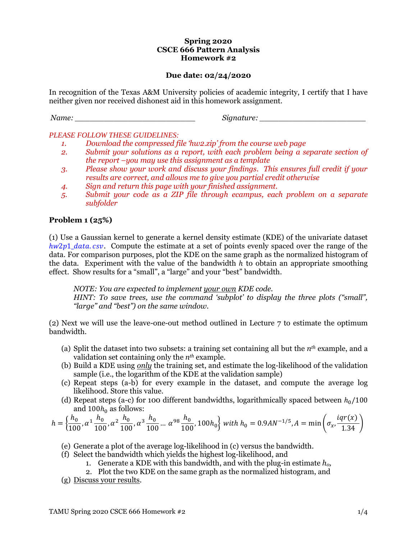#### **Spring 2020 CSCE 666 Pattern Analysis Homework #2**

## **Due date: 02/24/2020**

In recognition of the Texas A&M University policies of academic integrity, I certify that I have neither given nor received dishonest aid in this homework assignment.

*Name: \_\_\_\_\_\_\_\_\_\_\_\_\_\_\_\_\_\_\_\_\_\_\_\_\_ Signature: \_\_\_\_\_\_\_\_\_\_\_\_\_\_\_\_\_\_\_\_\_\_*

*PLEASE FOLLOW THESE GUIDELINES:* 

- *1. Download the compressed file 'hw2.zip' from the course web page*
- *2. Submit your solutions as a report, with each problem being a separate section of the report –you may use this assignment as a template*
- *3. Please show your work and discuss your findings. This ensures full credit if your results are correct, and allows me to give you partial credit otherwise*
- *4. Sign and return this page with your finished assignment.*
- *5. Submit your code as a ZIP file through ecampus, each problem on a separate subfolder*

### **Problem 1 (25%)**

(1) Use a Gaussian kernel to generate a kernel density estimate (KDE) of the univariate dataset  $h\nu 2p1$  data, csv. Compute the estimate at a set of points evenly spaced over the range of the data. For comparison purposes, plot the KDE on the same graph as the normalized histogram of the data. Experiment with the value of the bandwidth  $h$  to obtain an appropriate smoothing effect. Show results for a "small", a "large" and your "best" bandwidth.

*NOTE: You are expected to implement your own KDE code.*

*HINT: To save trees, use the command 'subplot' to display the three plots ("small", "large" and "best") on the same window.*

(2) Next we will use the leave-one-out method outlined in Lecture 7 to estimate the optimum bandwidth.

- (a) Split the dataset into two subsets: a training set containing all but the *nth* example, and a validation set containing only the *nth* example.
- (b) Build a KDE using *only* the training set, and estimate the log-likelihood of the validation sample (i.e., the logarithm of the KDE at the validation sample)
- (c) Repeat steps (a-b) for every example in the dataset, and compute the average log likelihood. Store this value.
- (d) Repeat steps (a-c) for 100 different bandwidths, logarithmically spaced between  $h_0/100$ and  $100h<sub>0</sub>$  as follows:

$$
h = \left\{ \frac{h_0}{100}, \alpha^1 \frac{h_0}{100}, \alpha^2 \frac{h_0}{100}, \alpha^3 \frac{h_0}{100} \dots \alpha^{98} \frac{h_0}{100}, 100h_0 \right\} \text{ with } h_0 = 0.9 A N^{-1/5}, A = \min\left(\sigma_x, \frac{iqr(x)}{1.34}\right)
$$

- (e) Generate a plot of the average log-likelihood in (c) versus the bandwidth.
- (f) Select the bandwidth which yields the highest log-likelihood, and
	- 1. Generate a KDE with this bandwidth, and with the plug-in estimate  $h_0$ ,
	- 2. Plot the two KDE on the same graph as the normalized histogram, and
- (g) Discuss your results.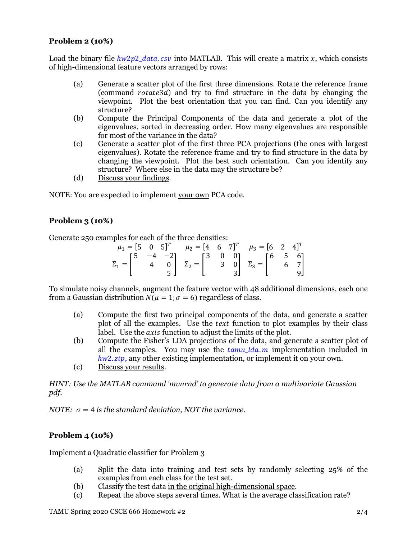# **Problem 2 (10%)**

Load the binary file  $h w 2p2$  data.  $c s v$  into MATLAB. This will create a matrix x, which consists of high-dimensional feature vectors arranged by rows:

- (a) Generate a scatter plot of the first three dimensions. Rotate the reference frame (command  $rotate3d$ ) and try to find structure in the data by changing the viewpoint. Plot the best orientation that you can find. Can you identify any structure?
- (b) Compute the Principal Components of the data and generate a plot of the eigenvalues, sorted in decreasing order. How many eigenvalues are responsible for most of the variance in the data?
- (c) Generate a scatter plot of the first three PCA projections (the ones with largest eigenvalues). Rotate the reference frame and try to find structure in the data by changing the viewpoint. Plot the best such orientation. Can you identify any structure? Where else in the data may the structure be?
- (d) Discuss your findings.

NOTE: You are expected to implement your own PCA code.

## **Problem 3 (10%)**

Generate 250 examples for each of the three densities:

|  |  |  | $\mu_1 = [5 \ 0 \ 5]^T$ $\mu_2 = [4 \ 6 \ 7]^T$ $\mu_3 = [6 \ 2 \ 4]^T$                                                                                                                                                      |  |
|--|--|--|------------------------------------------------------------------------------------------------------------------------------------------------------------------------------------------------------------------------------|--|
|  |  |  |                                                                                                                                                                                                                              |  |
|  |  |  | $\Sigma_1 = \begin{bmatrix} 5 & -4 & -2 \\ & 4 & 0 \\ & & 5 \end{bmatrix}$ $\Sigma_2 = \begin{bmatrix} 3 & 0 & 0 \\ & 3 & 0 \\ & & 3 \end{bmatrix}$ $\Sigma_3 = \begin{bmatrix} 6 & 5 & 6 \\ & 6 & 7 \\ & & 9 \end{bmatrix}$ |  |
|  |  |  |                                                                                                                                                                                                                              |  |

To simulate noisy channels, augment the feature vector with 48 additional dimensions, each one from a Gaussian distribution  $N(\mu = 1; \sigma = 6)$  regardless of class.

- (a) Compute the first two principal components of the data, and generate a scatter plot of all the examples. Use the *text* function to plot examples by their class label. Use the *axis* function to adjust the limits of the plot.
- (b) Compute the Fisher's LDA projections of the data, and generate a scatter plot of all the examples. You may use the  $tamu_lda_m$  implementation included in  $h_{W}$ 2. *zip*, any other existing implementation, or implement it on your own.
- (c) Discuss your results.

*HINT: Use the MATLAB command 'mvnrnd' to generate data from a multivariate Gaussian pdf.*

*NOTE:*  $\sigma = 4$  *is the standard deviation, NOT the variance.* 

# **Problem 4 (10%)**

Implement a Quadratic classifier for Problem 3

- (a) Split the data into training and test sets by randomly selecting 25% of the examples from each class for the test set.
- (b) Classify the test data in the original high-dimensional space.
- (c) Repeat the above steps several times. What is the average classification rate?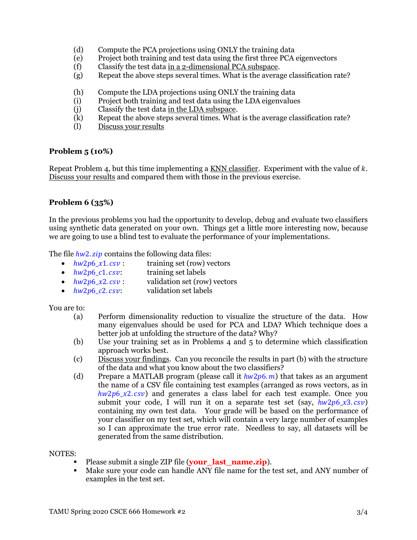- (d) Compute the PCA projections using ONLY the training data
- (e) Project both training and test data using the first three PCA eigenvectors
- (f) Classify the test data in a 2-dimensional PCA subspace.
- (g) Repeat the above steps several times. What is the average classification rate?
- (h) Compute the LDA projections using ONLY the training data
- (i) Project both training and test data using the LDA eigenvalues
- (j) Classify the test data in the LDA subspace.
- (k) Repeat the above steps several times. What is the average classification rate?
- (l) Discuss your results

#### **Problem 5 (10%)**

Repeat Problem 4, but this time implementing a  $KNN$  classifier. Experiment with the value of  $k$ . Discuss your results and compared them with those in the previous exercise.

## **Problem 6 (35%)**

In the previous problems you had the opportunity to develop, debug and evaluate two classifiers using synthetic data generated on your own. Things get a little more interesting now, because we are going to use a blind test to evaluate the performance of your implementations.

The file  $h w2$ .  $zip$  contains the following data files:

- $hw2p6_x1.csv$ : training set (row) vectors
- $hw2p6_c1.csv:$  training set labels
- $hw2p6_x2.csv$ : validation set (row) vectors
- $hw2p6_c2.csv$ : validation set labels

You are to:

- (a) Perform dimensionality reduction to visualize the structure of the data. How many eigenvalues should be used for PCA and LDA? Which technique does a better job at unfolding the structure of the data? Why?
- (b) Use your training set as in Problems 4 and 5 to determine which classification approach works best.
- (c) Discuss your findings. Can you reconcile the results in part (b) with the structure of the data and what you know about the two classifiers?
- (d) Prepare a MATLAB program (please call it  $hw2p6. m$ ) that takes as an argument the name of a CSV file containing test examples (arranged as rows vectors, as in  $hw2p6_x2.csv$  and generates a class label for each test example. Once you submit your code, I will run it on a separate test set (say,  $hw2p6\ x3. csv$ ) containing my own test data. Your grade will be based on the performance of your classifier on my test set, which will contain a very large number of examples so I can approximate the true error rate. Needless to say, all datasets will be generated from the same distribution.

#### NOTES:

- Please submit a single ZIP file (**your** last name.zip).
- Make sure your code can handle ANY file name for the test set, and ANY number of examples in the test set.